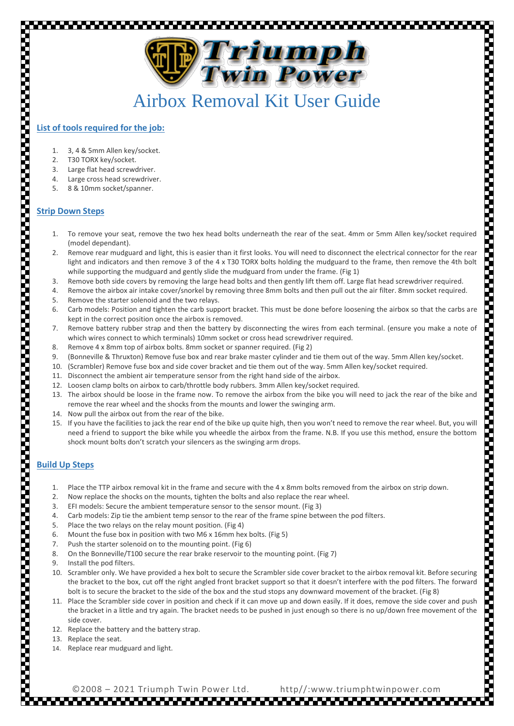

## Airbox Removal Kit User Guide

## **List of tools required for the job:**

- 1. 3, 4 & 5mm Allen key/socket.
- 2. T30 TORX key/socket.
- 3. Large flat head screwdriver.
- 4. Large cross head screwdriver.
- 5. 8 & 10mm socket/spanner.

## **Strip Down Steps**

- 1. To remove your seat, remove the two hex head bolts underneath the rear of the seat. 4mm or 5mm Allen key/socket required (model dependant).
- 2. Remove rear mudguard and light, this is easier than it first looks. You will need to disconnect the electrical connector for the rear light and indicators and then remove 3 of the 4 x T30 TORX bolts holding the mudguard to the frame, then remove the 4th bolt while supporting the mudguard and gently slide the mudguard from under the frame. (Fig 1)
- 3. Remove both side covers by removing the large head bolts and then gently lift them off. Large flat head screwdriver required.
- 4. Remove the airbox air intake cover/snorkel by removing three 8mm bolts and then pull out the air filter. 8mm socket required.
- 5. Remove the starter solenoid and the two relays.
- 6. Carb models: Position and tighten the carb support bracket. This must be done before loosening the airbox so that the carbs are kept in the correct position once the airbox is removed.
- 7. Remove battery rubber strap and then the battery by disconnecting the wires from each terminal. (ensure you make a note of which wires connect to which terminals) 10mm socket or cross head screwdriver required.
- 8. Remove 4 x 8mm top of airbox bolts. 8mm socket or spanner required. (Fig 2)
- 9. (Bonneville & Thruxton) Remove fuse box and rear brake master cylinder and tie them out of the way. 5mm Allen key/socket.
- 10. (Scrambler) Remove fuse box and side cover bracket and tie them out of the way. 5mm Allen key/socket required.
- 11. Disconnect the ambient air temperature sensor from the right hand side of the airbox.
- 12. Loosen clamp bolts on airbox to carb/throttle body rubbers. 3mm Allen key/socket required.
- 13. The airbox should be loose in the frame now. To remove the airbox from the bike you will need to jack the rear of the bike and remove the rear wheel and the shocks from the mounts and lower the swinging arm.
- 14. Now pull the airbox out from the rear of the bike.
- 15. If you have the facilities to jack the rear end of the bike up quite high, then you won't need to remove the rear wheel. But, you will need a friend to support the bike while you wheedle the airbox from the frame. N.B. If you use this method, ensure the bottom shock mount bolts don't scratch your silencers as the swinging arm drops.

## **Build Up Steps**

- 1. Place the TTP airbox removal kit in the frame and secure with the 4 x 8mm bolts removed from the airbox on strip down.
- 2. Now replace the shocks on the mounts, tighten the bolts and also replace the rear wheel.
- 3. EFI models: Secure the ambient temperature sensor to the sensor mount. (Fig 3)
- 4. Carb models: Zip tie the ambient temp sensor to the rear of the frame spine between the pod filters.
- 5. Place the two relays on the relay mount position. (Fig 4)
- 6. Mount the fuse box in position with two M6 x 16mm hex bolts. (Fig 5)
- 7. Push the starter solenoid on to the mounting point. (Fig 6)
- 8. On the Bonneville/T100 secure the rear brake reservoir to the mounting point. (Fig 7)
- 9. Install the pod filters.
- 10. Scrambler only. We have provided a hex bolt to secure the Scrambler side cover bracket to the airbox removal kit. Before securing the bracket to the box, cut off the right angled front bracket support so that it doesn't interfere with the pod filters. The forward bolt is to secure the bracket to the side of the box and the stud stops any downward movement of the bracket. (Fig 8)
- 11. Place the Scrambler side cover in position and check if it can move up and down easily. If it does, remove the side cover and push the bracket in a little and try again. The bracket needs to be pushed in just enough so there is no up/down free movement of the side cover.

- 12. Replace the battery and the battery strap.
- 13. Replace the seat.
- 14. Replace rear mudguard and light.

©2008 – 2021 Triumph Twin Power Ltd. http//:www.triumphtwinpower.com